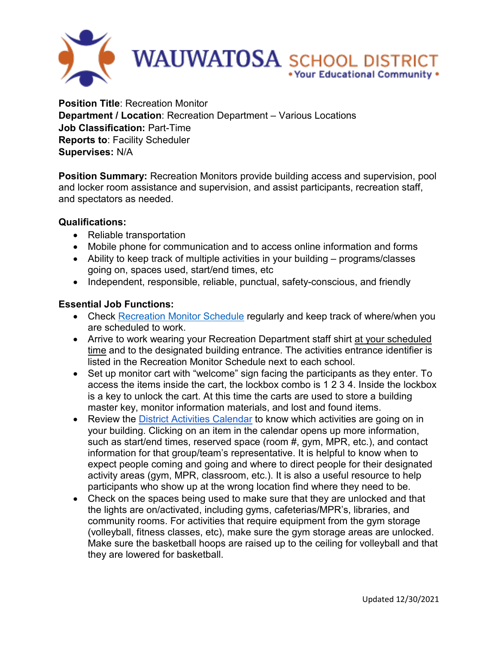

**Position Title**: Recreation Monitor **Department / Location**: Recreation Department – Various Locations **Job Classification:** Part-Time **Reports to**: Facility Scheduler **Supervises:** N/A

**Position Summary:** Recreation Monitors provide building access and supervision, pool and locker room assistance and supervision, and assist participants, recreation staff, and spectators as needed.

## **Qualifications:**

- Reliable transportation
- Mobile phone for communication and to access online information and forms
- Ability to keep track of multiple activities in your building programs/classes going on, spaces used, start/end times, etc
- Independent, responsible, reliable, punctual, safety-conscious, and friendly

## **Essential Job Functions:**

- Check [Recreation Monitor Schedule](https://docs.google.com/spreadsheets/d/1TGgNkj1nuODaStrB0coPmgdNoqnohYuamCVEeGtsjNk/edit#gid=0) regularly and keep track of where/when you are scheduled to work.
- Arrive to work wearing your Recreation Department staff shirt at your scheduled time and to the designated building entrance. The activities entrance identifier is listed in the Recreation Monitor Schedule next to each school.
- Set up monitor cart with "welcome" sign facing the participants as they enter. To access the items inside the cart, the lockbox combo is 1 2 3 4. Inside the lockbox is a key to unlock the cart. At this time the carts are used to store a building master key, monitor information materials, and lost and found items.
- Review the [District Activities Calendar](https://events.dudesolutions.com/wauwatosa/) to know which activities are going on in your building. Clicking on an item in the calendar opens up more information, such as start/end times, reserved space (room #, gym, MPR, etc.), and contact information for that group/team's representative. It is helpful to know when to expect people coming and going and where to direct people for their designated activity areas (gym, MPR, classroom, etc.). It is also a useful resource to help participants who show up at the wrong location find where they need to be.
- Check on the spaces being used to make sure that they are unlocked and that the lights are on/activated, including gyms, cafeterias/MPR's, libraries, and community rooms. For activities that require equipment from the gym storage (volleyball, fitness classes, etc), make sure the gym storage areas are unlocked. Make sure the basketball hoops are raised up to the ceiling for volleyball and that they are lowered for basketball.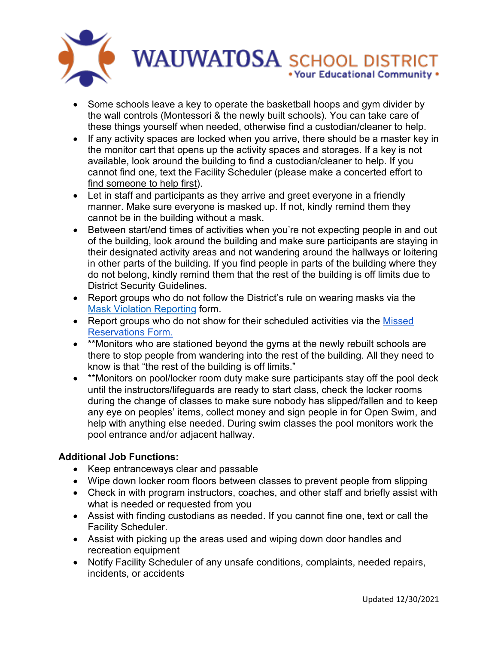

- Some schools leave a key to operate the basketball hoops and gym divider by the wall controls (Montessori & the newly built schools). You can take care of these things yourself when needed, otherwise find a custodian/cleaner to help.
- If any activity spaces are locked when you arrive, there should be a master key in the monitor cart that opens up the activity spaces and storages. If a key is not available, look around the building to find a custodian/cleaner to help. If you cannot find one, text the Facility Scheduler (please make a concerted effort to find someone to help first).
- Let in staff and participants as they arrive and greet everyone in a friendly manner. Make sure everyone is masked up. If not, kindly remind them they cannot be in the building without a mask.
- Between start/end times of activities when you're not expecting people in and out of the building, look around the building and make sure participants are staying in their designated activity areas and not wandering around the hallways or loitering in other parts of the building. If you find people in parts of the building where they do not belong, kindly remind them that the rest of the building is off limits due to District Security Guidelines.
- Report groups who do not follow the District's rule on wearing masks via the [Mask Violation Reporting](https://docs.google.com/forms/d/e/1FAIpQLSfe2wCWwHBuMXkZ58066fTsN189HrYDeucol2Zp_6dqHdZcNg/viewform) form.
- Report groups who do not show for their scheduled activities via the Missed [Reservations Form.](https://docs.google.com/forms/d/1A4YEG_7Jmn2Ll8JbJPll2Stn6FkzSH3GNLyltlRcQLE/edit)
- \*\*Monitors who are stationed beyond the gyms at the newly rebuilt schools are there to stop people from wandering into the rest of the building. All they need to know is that "the rest of the building is off limits."
- \*\*Monitors on pool/locker room duty make sure participants stay off the pool deck until the instructors/lifeguards are ready to start class, check the locker rooms during the change of classes to make sure nobody has slipped/fallen and to keep any eye on peoples' items, collect money and sign people in for Open Swim, and help with anything else needed. During swim classes the pool monitors work the pool entrance and/or adjacent hallway.

## **Additional Job Functions:**

- Keep entranceways clear and passable
- Wipe down locker room floors between classes to prevent people from slipping
- Check in with program instructors, coaches, and other staff and briefly assist with what is needed or requested from you
- Assist with finding custodians as needed. If you cannot fine one, text or call the Facility Scheduler.
- Assist with picking up the areas used and wiping down door handles and recreation equipment
- Notify Facility Scheduler of any unsafe conditions, complaints, needed repairs, incidents, or accidents